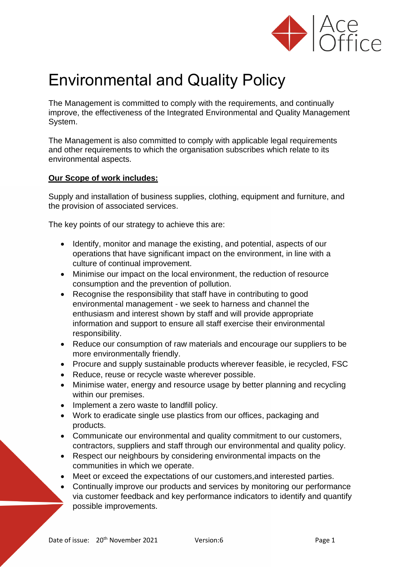

## Environmental and Quality Policy

The Management is committed to comply with the requirements, and continually improve, the effectiveness of the Integrated Environmental and Quality Management System.

The Management is also committed to comply with applicable legal requirements and other requirements to which the organisation subscribes which relate to its environmental aspects.

## **Our Scope of work includes:**

Supply and installation of business supplies, clothing, equipment and furniture, and the provision of associated services.

The key points of our strategy to achieve this are:

- Identify, monitor and manage the existing, and potential, aspects of our operations that have significant impact on the environment, in line with a culture of continual improvement.
- Minimise our impact on the local environment, the reduction of resource consumption and the prevention of pollution.
- Recognise the responsibility that staff have in contributing to good environmental management - we seek to harness and channel the enthusiasm and interest shown by staff and will provide appropriate information and support to ensure all staff exercise their environmental responsibility.
- Reduce our consumption of raw materials and encourage our suppliers to be more environmentally friendly.
- Procure and supply sustainable products wherever feasible, ie recycled, FSC
- Reduce, reuse or recycle waste wherever possible.
- Minimise water, energy and resource usage by better planning and recycling within our premises.
- Implement a zero waste to landfill policy.
- Work to eradicate single use plastics from our offices, packaging and products.
- Communicate our environmental and quality commitment to our customers, contractors, suppliers and staff through our environmental and quality policy.
- Respect our neighbours by considering environmental impacts on the communities in which we operate.
- Meet or exceed the expectations of our customers,and interested parties.
- Continually improve our products and services by monitoring our performance via customer feedback and key performance indicators to identify and quantify possible improvements.